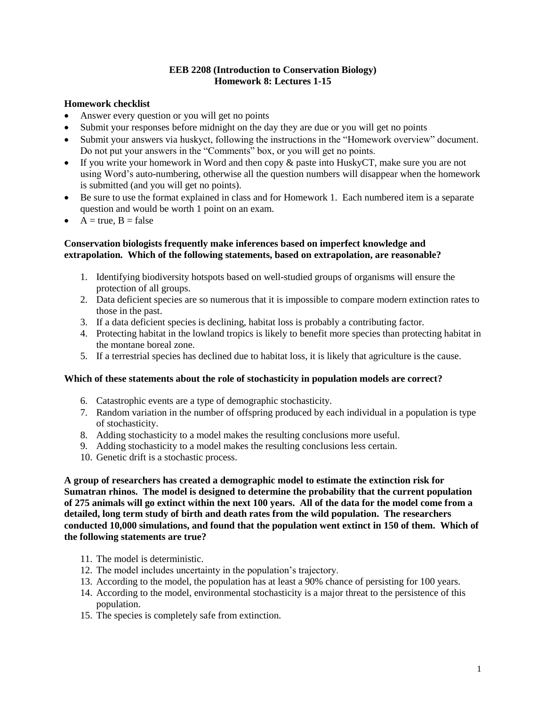## **EEB 2208 (Introduction to Conservation Biology) Homework 8: Lectures 1-15**

# **Homework checklist**

- Answer every question or you will get no points
- Submit your responses before midnight on the day they are due or you will get no points
- Submit your answers via huskyct, following the instructions in the "Homework overview" document. Do not put your answers in the "Comments" box, or you will get no points.
- If you write your homework in Word and then copy & paste into HuskyCT, make sure you are not using Word's auto-numbering, otherwise all the question numbers will disappear when the homework is submitted (and you will get no points).
- Be sure to use the format explained in class and for Homework 1. Each numbered item is a separate question and would be worth 1 point on an exam.
- $A = true, B = false$

# **Conservation biologists frequently make inferences based on imperfect knowledge and extrapolation. Which of the following statements, based on extrapolation, are reasonable?**

- 1. Identifying biodiversity hotspots based on well-studied groups of organisms will ensure the protection of all groups.
- 2. Data deficient species are so numerous that it is impossible to compare modern extinction rates to those in the past.
- 3. If a data deficient species is declining, habitat loss is probably a contributing factor.
- 4. Protecting habitat in the lowland tropics is likely to benefit more species than protecting habitat in the montane boreal zone.
- 5. If a terrestrial species has declined due to habitat loss, it is likely that agriculture is the cause.

## **Which of these statements about the role of stochasticity in population models are correct?**

- 6. Catastrophic events are a type of demographic stochasticity.
- 7. Random variation in the number of offspring produced by each individual in a population is type of stochasticity.
- 8. Adding stochasticity to a model makes the resulting conclusions more useful.
- 9. Adding stochasticity to a model makes the resulting conclusions less certain.
- 10. Genetic drift is a stochastic process.

**A group of researchers has created a demographic model to estimate the extinction risk for Sumatran rhinos. The model is designed to determine the probability that the current population of 275 animals will go extinct within the next 100 years. All of the data for the model come from a detailed, long term study of birth and death rates from the wild population. The researchers conducted 10,000 simulations, and found that the population went extinct in 150 of them. Which of the following statements are true?**

- 11. The model is deterministic.
- 12. The model includes uncertainty in the population's trajectory.
- 13. According to the model, the population has at least a 90% chance of persisting for 100 years.
- 14. According to the model, environmental stochasticity is a major threat to the persistence of this population.
- 15. The species is completely safe from extinction.